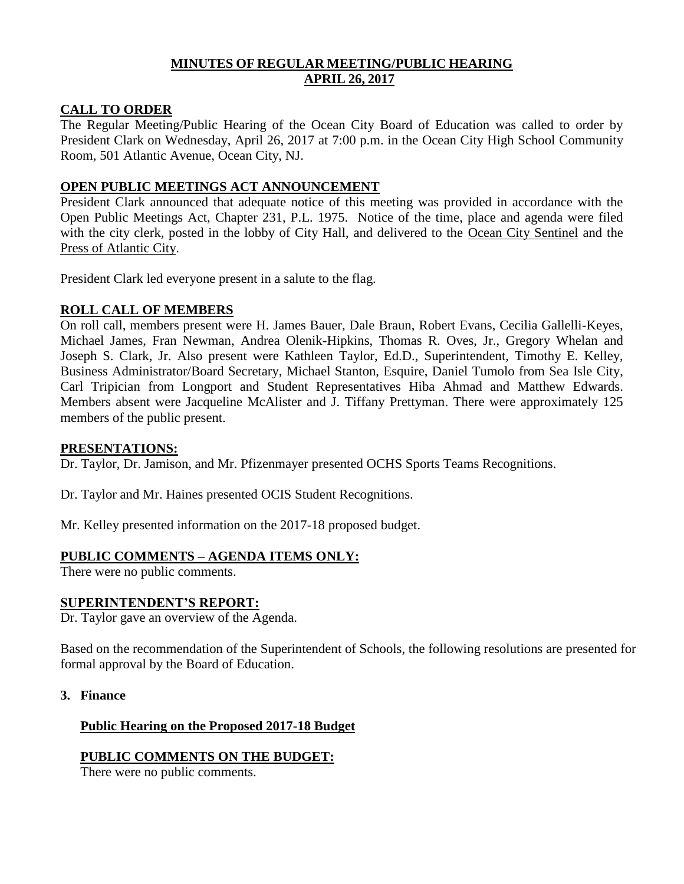# **MINUTES OF REGULAR MEETING/PUBLIC HEARING APRIL 26, 2017**

### **CALL TO ORDER**

The Regular Meeting/Public Hearing of the Ocean City Board of Education was called to order by President Clark on Wednesday, April 26, 2017 at 7:00 p.m. in the Ocean City High School Community Room, 501 Atlantic Avenue, Ocean City, NJ.

### **OPEN PUBLIC MEETINGS ACT ANNOUNCEMENT**

President Clark announced that adequate notice of this meeting was provided in accordance with the Open Public Meetings Act, Chapter 231, P.L. 1975. Notice of the time, place and agenda were filed with the city clerk, posted in the lobby of City Hall, and delivered to the Ocean City Sentinel and the Press of Atlantic City.

President Clark led everyone present in a salute to the flag.

### **ROLL CALL OF MEMBERS**

On roll call, members present were H. James Bauer, Dale Braun, Robert Evans, Cecilia Gallelli-Keyes, Michael James, Fran Newman, Andrea Olenik-Hipkins, Thomas R. Oves, Jr., Gregory Whelan and Joseph S. Clark, Jr. Also present were Kathleen Taylor, Ed.D., Superintendent, Timothy E. Kelley, Business Administrator/Board Secretary, Michael Stanton, Esquire, Daniel Tumolo from Sea Isle City, Carl Tripician from Longport and Student Representatives Hiba Ahmad and Matthew Edwards. Members absent were Jacqueline McAlister and J. Tiffany Prettyman. There were approximately 125 members of the public present.

### **PRESENTATIONS:**

Dr. Taylor, Dr. Jamison, and Mr. Pfizenmayer presented OCHS Sports Teams Recognitions.

Dr. Taylor and Mr. Haines presented OCIS Student Recognitions.

Mr. Kelley presented information on the 2017-18 proposed budget.

# **PUBLIC COMMENTS – AGENDA ITEMS ONLY:**

There were no public comments.

### **SUPERINTENDENT'S REPORT:**

Dr. Taylor gave an overview of the Agenda.

Based on the recommendation of the Superintendent of Schools, the following resolutions are presented for formal approval by the Board of Education.

**3. Finance**

# **Public Hearing on the Proposed 2017-18 Budget**

# **PUBLIC COMMENTS ON THE BUDGET:**

There were no public comments.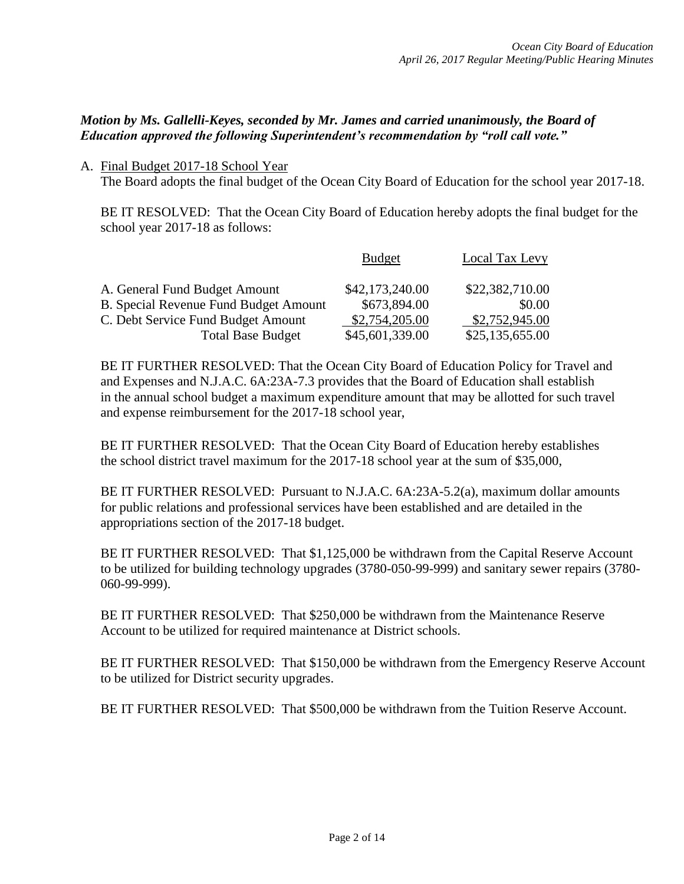# *Motion by Ms. Gallelli-Keyes, seconded by Mr. James and carried unanimously, the Board of Education approved the following Superintendent's recommendation by "roll call vote."*

A. Final Budget 2017-18 School Year

The Board adopts the final budget of the Ocean City Board of Education for the school year 2017-18.

BE IT RESOLVED: That the Ocean City Board of Education hereby adopts the final budget for the school year 2017-18 as follows:

|                                              | <b>Budget</b>   | <b>Local Tax Levy</b> |
|----------------------------------------------|-----------------|-----------------------|
| A. General Fund Budget Amount                | \$42,173,240.00 | \$22,382,710.00       |
| <b>B. Special Revenue Fund Budget Amount</b> | \$673,894.00    | \$0.00                |
| C. Debt Service Fund Budget Amount           | \$2,754,205.00  | \$2,752,945.00        |
| <b>Total Base Budget</b>                     | \$45,601,339.00 | \$25,135,655.00       |

BE IT FURTHER RESOLVED: That the Ocean City Board of Education Policy for Travel and and Expenses and N.J.A.C. 6A:23A-7.3 provides that the Board of Education shall establish in the annual school budget a maximum expenditure amount that may be allotted for such travel and expense reimbursement for the 2017-18 school year,

BE IT FURTHER RESOLVED: That the Ocean City Board of Education hereby establishes the school district travel maximum for the 2017-18 school year at the sum of \$35,000,

BE IT FURTHER RESOLVED: Pursuant to N.J.A.C. 6A:23A-5.2(a), maximum dollar amounts for public relations and professional services have been established and are detailed in the appropriations section of the 2017-18 budget.

BE IT FURTHER RESOLVED: That \$1,125,000 be withdrawn from the Capital Reserve Account to be utilized for building technology upgrades (3780-050-99-999) and sanitary sewer repairs (3780- 060-99-999).

BE IT FURTHER RESOLVED: That \$250,000 be withdrawn from the Maintenance Reserve Account to be utilized for required maintenance at District schools.

BE IT FURTHER RESOLVED: That \$150,000 be withdrawn from the Emergency Reserve Account to be utilized for District security upgrades.

BE IT FURTHER RESOLVED: That \$500,000 be withdrawn from the Tuition Reserve Account.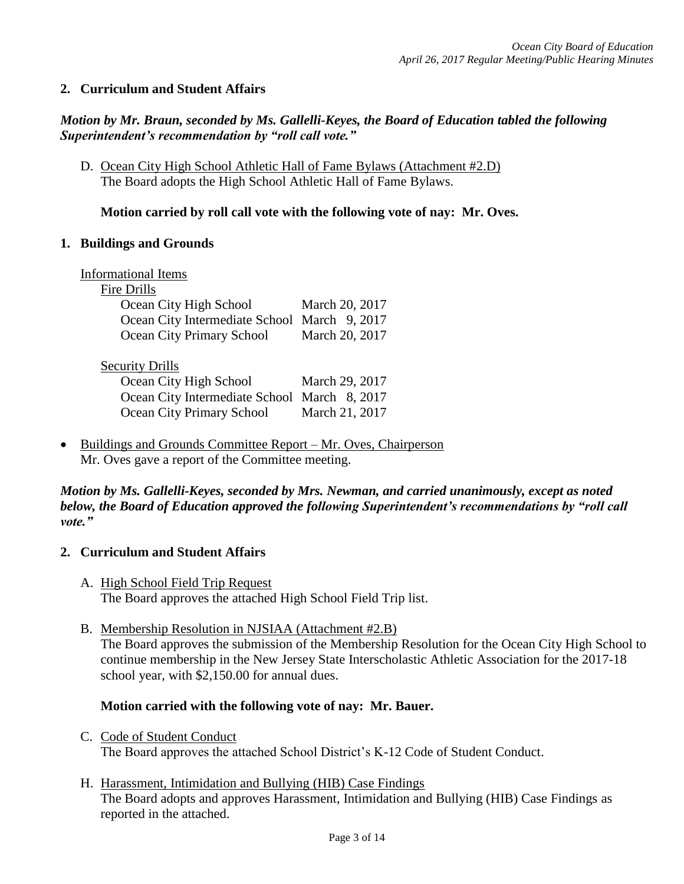### **2. Curriculum and Student Affairs**

### *Motion by Mr. Braun, seconded by Ms. Gallelli-Keyes, the Board of Education tabled the following Superintendent's recommendation by "roll call vote."*

D. Ocean City High School Athletic Hall of Fame Bylaws (Attachment #2.D) The Board adopts the High School Athletic Hall of Fame Bylaws.

### **Motion carried by roll call vote with the following vote of nay: Mr. Oves.**

### **1. Buildings and Grounds**

| <b>Informational Items</b>                   |                |
|----------------------------------------------|----------------|
| <b>Fire Drills</b>                           |                |
| Ocean City High School                       | March 20, 2017 |
| Ocean City Intermediate School March 9, 2017 |                |
| Ocean City Primary School                    | March 20, 2017 |
|                                              |                |
| <b>Security Drills</b>                       |                |
| Ocean City High School                       | March 29, 2017 |
| Ocean City Intermediate School March 8, 2017 |                |
| Ocean City Primary School                    | March 21, 2017 |
|                                              |                |

 Buildings and Grounds Committee Report – Mr. Oves, Chairperson Mr. Oves gave a report of the Committee meeting.

*Motion by Ms. Gallelli-Keyes, seconded by Mrs. Newman, and carried unanimously, except as noted below, the Board of Education approved the following Superintendent's recommendations by "roll call vote."* 

### **2. Curriculum and Student Affairs**

- A. High School Field Trip Request The Board approves the attached High School Field Trip list.
- B. Membership Resolution in NJSIAA (Attachment #2.B) The Board approves the submission of the Membership Resolution for the Ocean City High School to continue membership in the New Jersey State Interscholastic Athletic Association for the 2017-18 school year, with \$2,150.00 for annual dues.

### **Motion carried with the following vote of nay: Mr. Bauer.**

C. Code of Student Conduct The Board approves the attached School District's K-12 Code of Student Conduct.

# H. Harassment, Intimidation and Bullying (HIB) Case Findings The Board adopts and approves Harassment, Intimidation and Bullying (HIB) Case Findings as reported in the attached.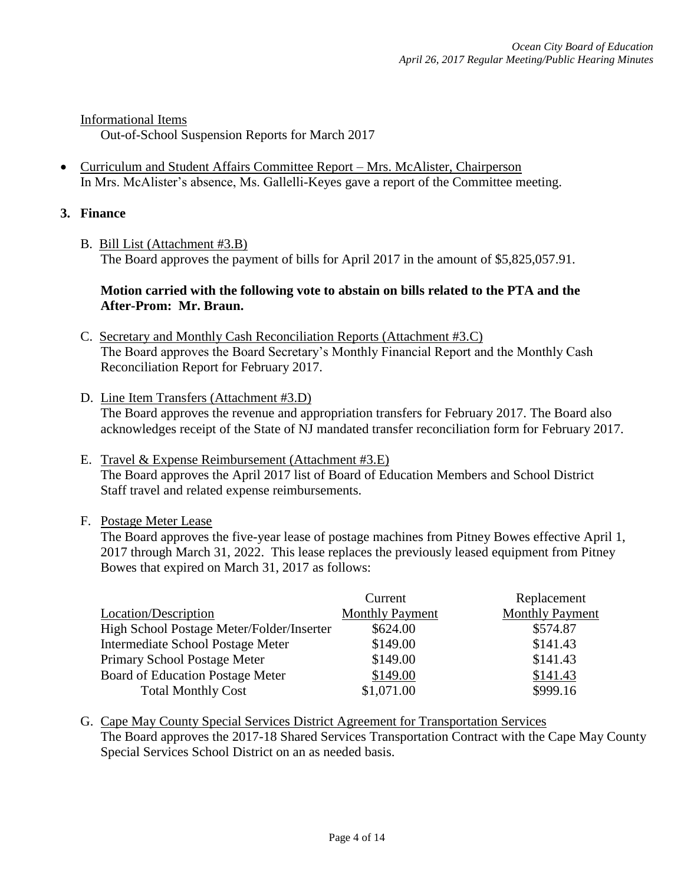Informational Items

Out-of-School Suspension Reports for March 2017

 Curriculum and Student Affairs Committee Report – Mrs. McAlister, Chairperson In Mrs. McAlister's absence, Ms. Gallelli-Keyes gave a report of the Committee meeting.

### **3. Finance**

B. Bill List (Attachment #3.B) The Board approves the payment of bills for April 2017 in the amount of \$5,825,057.91.

### **Motion carried with the following vote to abstain on bills related to the PTA and the After-Prom: Mr. Braun.**

- C. Secretary and Monthly Cash Reconciliation Reports (Attachment #3.C) The Board approves the Board Secretary's Monthly Financial Report and the Monthly Cash Reconciliation Report for February 2017.
- D. Line Item Transfers (Attachment #3.D) The Board approves the revenue and appropriation transfers for February 2017. The Board also acknowledges receipt of the State of NJ mandated transfer reconciliation form for February 2017.
- E. Travel & Expense Reimbursement (Attachment #3.E) The Board approves the April 2017 list of Board of Education Members and School District Staff travel and related expense reimbursements.
- F. Postage Meter Lease

The Board approves the five-year lease of postage machines from Pitney Bowes effective April 1, 2017 through March 31, 2022. This lease replaces the previously leased equipment from Pitney Bowes that expired on March 31, 2017 as follows:

|                                           | Current                | Replacement            |
|-------------------------------------------|------------------------|------------------------|
| Location/Description                      | <b>Monthly Payment</b> | <b>Monthly Payment</b> |
| High School Postage Meter/Folder/Inserter | \$624.00               | \$574.87               |
| Intermediate School Postage Meter         | \$149.00               | \$141.43               |
| Primary School Postage Meter              | \$149.00               | \$141.43               |
| Board of Education Postage Meter          | \$149.00               | \$141.43               |
| <b>Total Monthly Cost</b>                 | \$1,071.00             | \$999.16               |

G. Cape May County Special Services District Agreement for Transportation Services The Board approves the 2017-18 Shared Services Transportation Contract with the Cape May County Special Services School District on an as needed basis.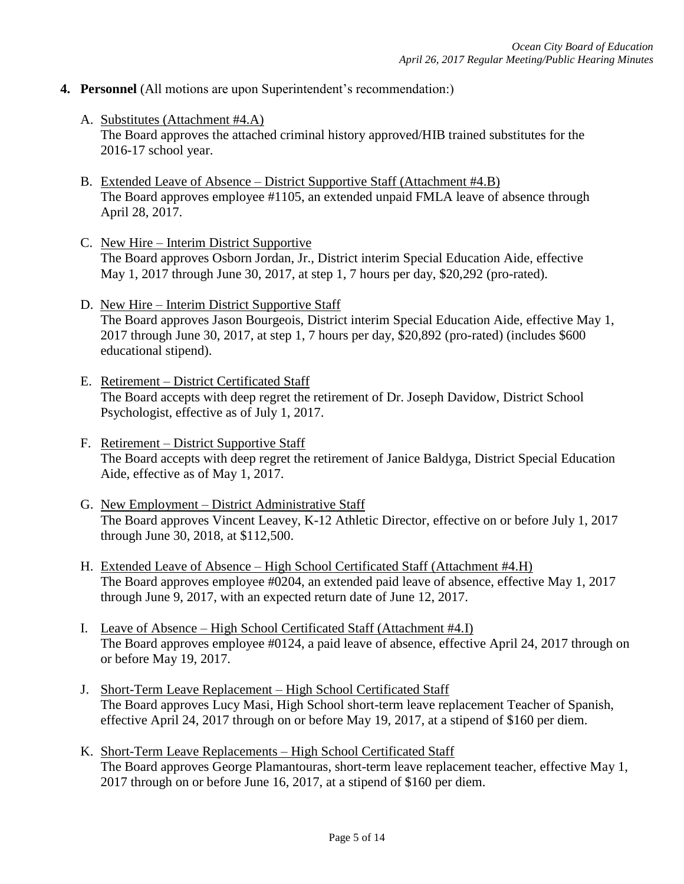- **4. Personnel** (All motions are upon Superintendent's recommendation:)
	- A. Substitutes (Attachment #4.A) The Board approves the attached criminal history approved/HIB trained substitutes for the 2016-17 school year.
	- B. Extended Leave of Absence District Supportive Staff (Attachment #4.B) The Board approves employee #1105, an extended unpaid FMLA leave of absence through April 28, 2017.
	- C. New Hire Interim District Supportive The Board approves Osborn Jordan, Jr., District interim Special Education Aide, effective May 1, 2017 through June 30, 2017, at step 1, 7 hours per day, \$20,292 (pro-rated).
	- D. New Hire Interim District Supportive Staff The Board approves Jason Bourgeois, District interim Special Education Aide, effective May 1, 2017 through June 30, 2017, at step 1, 7 hours per day, \$20,892 (pro-rated) (includes \$600 educational stipend).
	- E. Retirement District Certificated Staff The Board accepts with deep regret the retirement of Dr. Joseph Davidow, District School Psychologist, effective as of July 1, 2017.
	- F. Retirement District Supportive Staff The Board accepts with deep regret the retirement of Janice Baldyga, District Special Education Aide, effective as of May 1, 2017.
	- G. New Employment District Administrative Staff The Board approves Vincent Leavey, K-12 Athletic Director, effective on or before July 1, 2017 through June 30, 2018, at \$112,500.
	- H. Extended Leave of Absence High School Certificated Staff (Attachment #4.H) The Board approves employee #0204, an extended paid leave of absence, effective May 1, 2017 through June 9, 2017, with an expected return date of June 12, 2017.
	- I. Leave of Absence High School Certificated Staff (Attachment #4.I) The Board approves employee #0124, a paid leave of absence, effective April 24, 2017 through on or before May 19, 2017.
	- J. Short-Term Leave Replacement High School Certificated Staff The Board approves Lucy Masi, High School short-term leave replacement Teacher of Spanish, effective April 24, 2017 through on or before May 19, 2017, at a stipend of \$160 per diem.
	- K. Short-Term Leave Replacements High School Certificated Staff The Board approves George Plamantouras, short-term leave replacement teacher, effective May 1, 2017 through on or before June 16, 2017, at a stipend of \$160 per diem.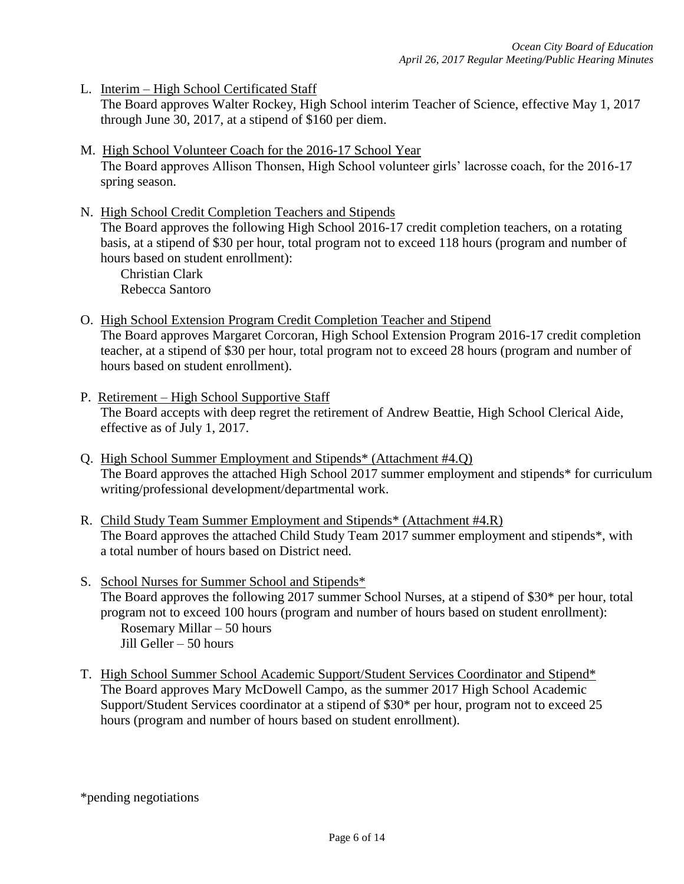L. Interim – High School Certificated Staff

The Board approves Walter Rockey, High School interim Teacher of Science, effective May 1, 2017 through June 30, 2017, at a stipend of \$160 per diem.

- M. High School Volunteer Coach for the 2016-17 School Year The Board approves Allison Thonsen, High School volunteer girls' lacrosse coach, for the 2016-17 spring season.
- N. High School Credit Completion Teachers and Stipends The Board approves the following High School 2016-17 credit completion teachers, on a rotating basis, at a stipend of \$30 per hour, total program not to exceed 118 hours (program and number of hours based on student enrollment): Christian Clark

Rebecca Santoro

- O. High School Extension Program Credit Completion Teacher and Stipend The Board approves Margaret Corcoran, High School Extension Program 2016-17 credit completion teacher, at a stipend of \$30 per hour, total program not to exceed 28 hours (program and number of hours based on student enrollment).
- P. Retirement High School Supportive Staff The Board accepts with deep regret the retirement of Andrew Beattie, High School Clerical Aide, effective as of July 1, 2017.
- Q. High School Summer Employment and Stipends\* (Attachment #4.Q) The Board approves the attached High School 2017 summer employment and stipends\* for curriculum writing/professional development/departmental work.
- R. Child Study Team Summer Employment and Stipends\* (Attachment #4.R) The Board approves the attached Child Study Team 2017 summer employment and stipends\*, with a total number of hours based on District need.
- S. School Nurses for Summer School and Stipends\* The Board approves the following 2017 summer School Nurses, at a stipend of \$30\* per hour, total program not to exceed 100 hours (program and number of hours based on student enrollment): Rosemary Millar – 50 hours Jill Geller – 50 hours
- T. High School Summer School Academic Support/Student Services Coordinator and Stipend\* The Board approves Mary McDowell Campo, as the summer 2017 High School Academic Support/Student Services coordinator at a stipend of \$30\* per hour, program not to exceed 25 hours (program and number of hours based on student enrollment).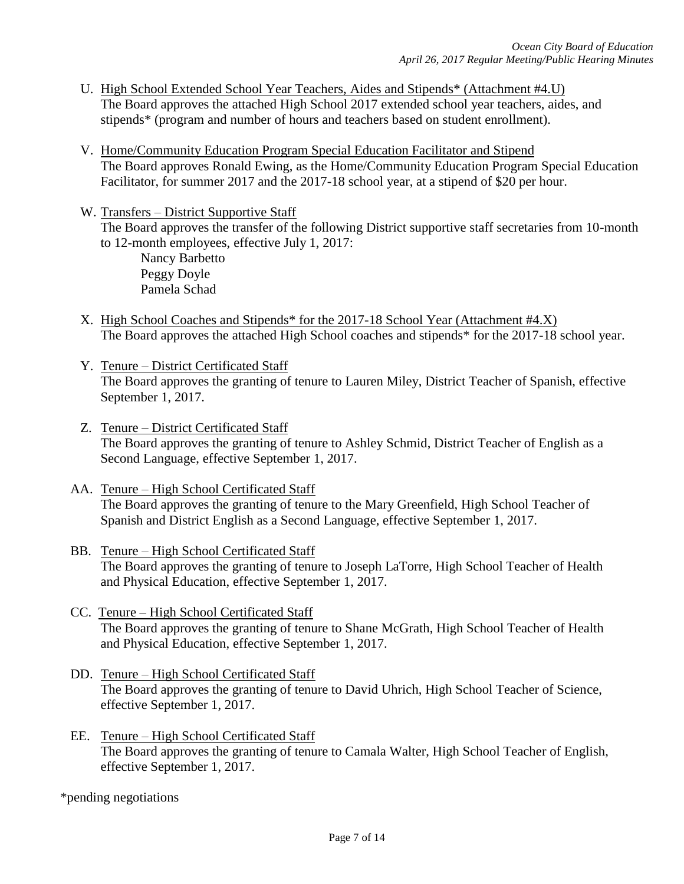- U. High School Extended School Year Teachers, Aides and Stipends\* (Attachment #4.U) The Board approves the attached High School 2017 extended school year teachers, aides, and stipends\* (program and number of hours and teachers based on student enrollment).
- V. Home/Community Education Program Special Education Facilitator and Stipend The Board approves Ronald Ewing, as the Home/Community Education Program Special Education Facilitator, for summer 2017 and the 2017-18 school year, at a stipend of \$20 per hour.
- W. Transfers District Supportive Staff The Board approves the transfer of the following District supportive staff secretaries from 10-month to 12-month employees, effective July 1, 2017: Nancy Barbetto Peggy Doyle Pamela Schad
- X. High School Coaches and Stipends\* for the 2017-18 School Year (Attachment #4.X) The Board approves the attached High School coaches and stipends\* for the 2017-18 school year.
- Y. Tenure District Certificated Staff The Board approves the granting of tenure to Lauren Miley, District Teacher of Spanish, effective September 1, 2017.
- Z. Tenure District Certificated Staff The Board approves the granting of tenure to Ashley Schmid, District Teacher of English as a Second Language, effective September 1, 2017.
- AA. Tenure High School Certificated Staff The Board approves the granting of tenure to the Mary Greenfield, High School Teacher of Spanish and District English as a Second Language, effective September 1, 2017.
- BB. Tenure High School Certificated Staff The Board approves the granting of tenure to Joseph LaTorre, High School Teacher of Health and Physical Education, effective September 1, 2017.
- CC. Tenure High School Certificated Staff The Board approves the granting of tenure to Shane McGrath, High School Teacher of Health and Physical Education, effective September 1, 2017.
- DD. Tenure High School Certificated Staff The Board approves the granting of tenure to David Uhrich, High School Teacher of Science, effective September 1, 2017.
- EE. Tenure High School Certificated Staff The Board approves the granting of tenure to Camala Walter, High School Teacher of English, effective September 1, 2017.

\*pending negotiations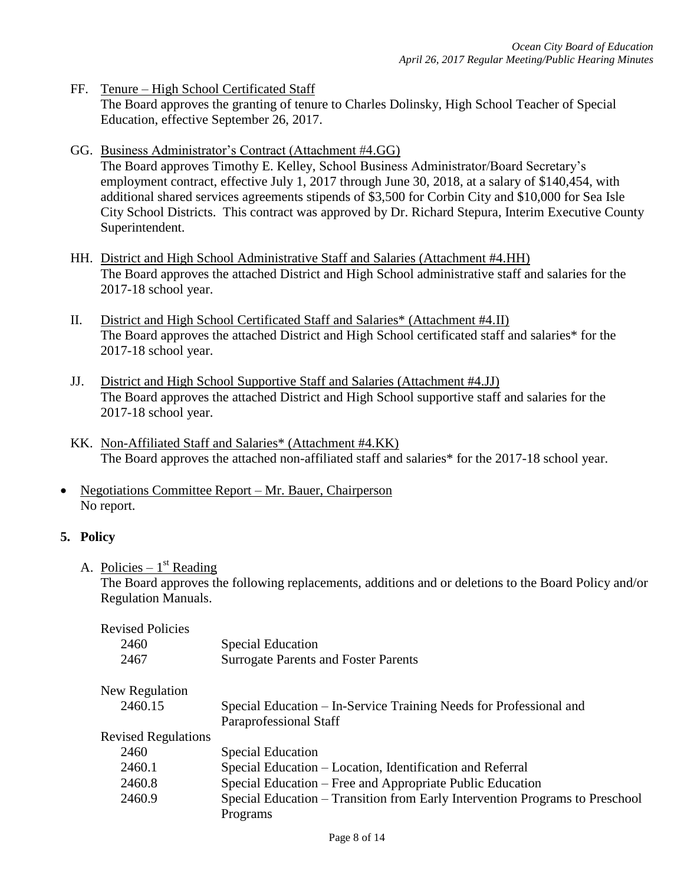- FF. Tenure High School Certificated Staff The Board approves the granting of tenure to Charles Dolinsky, High School Teacher of Special Education, effective September 26, 2017.
- GG. Business Administrator's Contract (Attachment #4.GG) The Board approves Timothy E. Kelley, School Business Administrator/Board Secretary's employment contract, effective July 1, 2017 through June 30, 2018, at a salary of \$140,454, with additional shared services agreements stipends of \$3,500 for Corbin City and \$10,000 for Sea Isle City School Districts. This contract was approved by Dr. Richard Stepura, Interim Executive County Superintendent.
- HH. District and High School Administrative Staff and Salaries (Attachment #4.HH) The Board approves the attached District and High School administrative staff and salaries for the 2017-18 school year.
- II. District and High School Certificated Staff and Salaries\* (Attachment #4.II) The Board approves the attached District and High School certificated staff and salaries\* for the 2017-18 school year.
- JJ. District and High School Supportive Staff and Salaries (Attachment #4.JJ) The Board approves the attached District and High School supportive staff and salaries for the 2017-18 school year.
- KK. Non-Affiliated Staff and Salaries\* (Attachment #4.KK) The Board approves the attached non-affiliated staff and salaries\* for the 2017-18 school year.
- Negotiations Committee Report Mr. Bauer, Chairperson No report.

# **5. Policy**

A. Policies –  $1<sup>st</sup>$  Reading

The Board approves the following replacements, additions and or deletions to the Board Policy and/or Regulation Manuals.

| <b>Revised Policies</b>    |                                                                                              |
|----------------------------|----------------------------------------------------------------------------------------------|
| 2460                       | <b>Special Education</b>                                                                     |
| 2467                       | <b>Surrogate Parents and Foster Parents</b>                                                  |
| New Regulation             |                                                                                              |
| 2460.15                    | Special Education – In-Service Training Needs for Professional and<br>Paraprofessional Staff |
| <b>Revised Regulations</b> |                                                                                              |
| 2460                       | <b>Special Education</b>                                                                     |
| 2460.1                     | Special Education – Location, Identification and Referral                                    |
| 2460.8                     | Special Education – Free and Appropriate Public Education                                    |
| 2460.9                     | Special Education – Transition from Early Intervention Programs to Preschool                 |
|                            | Programs                                                                                     |
|                            |                                                                                              |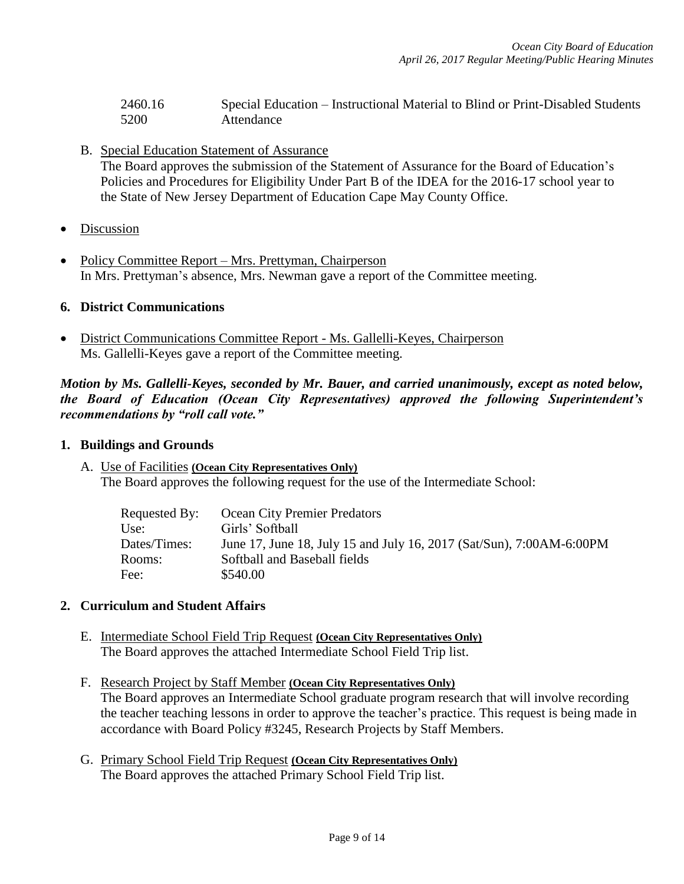| 2460.16 | Special Education – Instructional Material to Blind or Print-Disabled Students |
|---------|--------------------------------------------------------------------------------|
| 5200    | Attendance                                                                     |

- B. Special Education Statement of Assurance The Board approves the submission of the Statement of Assurance for the Board of Education's Policies and Procedures for Eligibility Under Part B of the IDEA for the 2016-17 school year to the State of New Jersey Department of Education Cape May County Office.
- Discussion
- Policy Committee Report Mrs. Prettyman, Chairperson In Mrs. Prettyman's absence, Mrs. Newman gave a report of the Committee meeting.

### **6. District Communications**

 District Communications Committee Report - Ms. Gallelli-Keyes, Chairperson Ms. Gallelli-Keyes gave a report of the Committee meeting.

*Motion by Ms. Gallelli-Keyes, seconded by Mr. Bauer, and carried unanimously, except as noted below, the Board of Education (Ocean City Representatives) approved the following Superintendent's recommendations by "roll call vote."* 

#### **1. Buildings and Grounds**

A. Use of Facilities **(Ocean City Representatives Only)** The Board approves the following request for the use of the Intermediate School:

| Requested By: | <b>Ocean City Premier Predators</b>                                  |
|---------------|----------------------------------------------------------------------|
| Use:          | Girls' Softball                                                      |
| Dates/Times:  | June 17, June 18, July 15 and July 16, 2017 (Sat/Sun), 7:00AM-6:00PM |
| Rooms:        | Softball and Baseball fields                                         |
| Fee:          | \$540.00                                                             |

### **2. Curriculum and Student Affairs**

- E. Intermediate School Field Trip Request **(Ocean City Representatives Only)** The Board approves the attached Intermediate School Field Trip list.
- F. Research Project by Staff Member **(Ocean City Representatives Only)** The Board approves an Intermediate School graduate program research that will involve recording the teacher teaching lessons in order to approve the teacher's practice. This request is being made in accordance with Board Policy #3245, Research Projects by Staff Members.
- G. Primary School Field Trip Request **(Ocean City Representatives Only)** The Board approves the attached Primary School Field Trip list.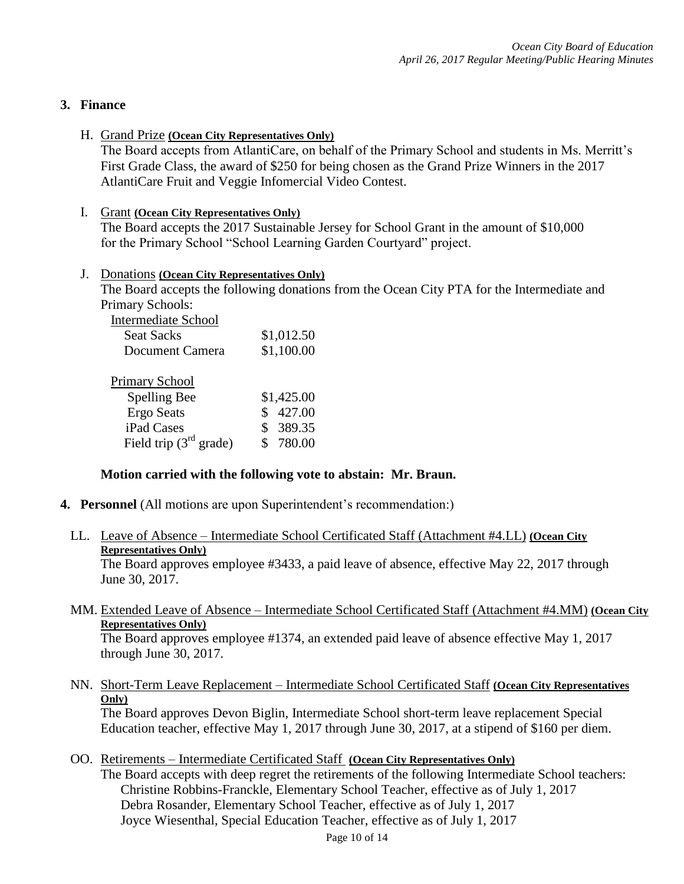### **3. Finance**

### H. Grand Prize **(Ocean City Representatives Only)**

The Board accepts from AtlantiCare, on behalf of the Primary School and students in Ms. Merritt's First Grade Class, the award of \$250 for being chosen as the Grand Prize Winners in the 2017 AtlantiCare Fruit and Veggie Infomercial Video Contest.

### I. Grant **(Ocean City Representatives Only)**

The Board accepts the 2017 Sustainable Jersey for School Grant in the amount of \$10,000 for the Primary School "School Learning Garden Courtyard" project.

### J. Donations **(Ocean City Representatives Only)**

The Board accepts the following donations from the Ocean City PTA for the Intermediate and Primary Schools:

| <b>Intermediate School</b> |            |
|----------------------------|------------|
| <b>Seat Sacks</b>          | \$1,012.50 |
| Document Camera            | \$1,100.00 |
|                            |            |
| <b>Primary School</b>      |            |
| Spelling Bee               | \$1,425.00 |
| <b>Ergo Seats</b>          | 427.00     |
| iPad Cases                 | 389.35     |
| Field trip $(3rd$ grade)   | 780.00     |

### **Motion carried with the following vote to abstain: Mr. Braun.**

**4. Personnel** (All motions are upon Superintendent's recommendation:)

# LL. Leave of Absence – Intermediate School Certificated Staff (Attachment #4.LL) **(Ocean City Representatives Only)**

The Board approves employee #3433, a paid leave of absence, effective May 22, 2017 through June 30, 2017.

MM. Extended Leave of Absence – Intermediate School Certificated Staff (Attachment #4.MM) **(Ocean City Representatives Only)**

The Board approves employee #1374, an extended paid leave of absence effective May 1, 2017 through June 30, 2017.

NN. Short-Term Leave Replacement – Intermediate School Certificated Staff **(Ocean City Representatives Only)**

The Board approves Devon Biglin, Intermediate School short-term leave replacement Special Education teacher, effective May 1, 2017 through June 30, 2017, at a stipend of \$160 per diem.

# OO. Retirements – Intermediate Certificated Staff **(Ocean City Representatives Only)**

The Board accepts with deep regret the retirements of the following Intermediate School teachers: Christine Robbins-Franckle, Elementary School Teacher, effective as of July 1, 2017 Debra Rosander, Elementary School Teacher, effective as of July 1, 2017 Joyce Wiesenthal, Special Education Teacher, effective as of July 1, 2017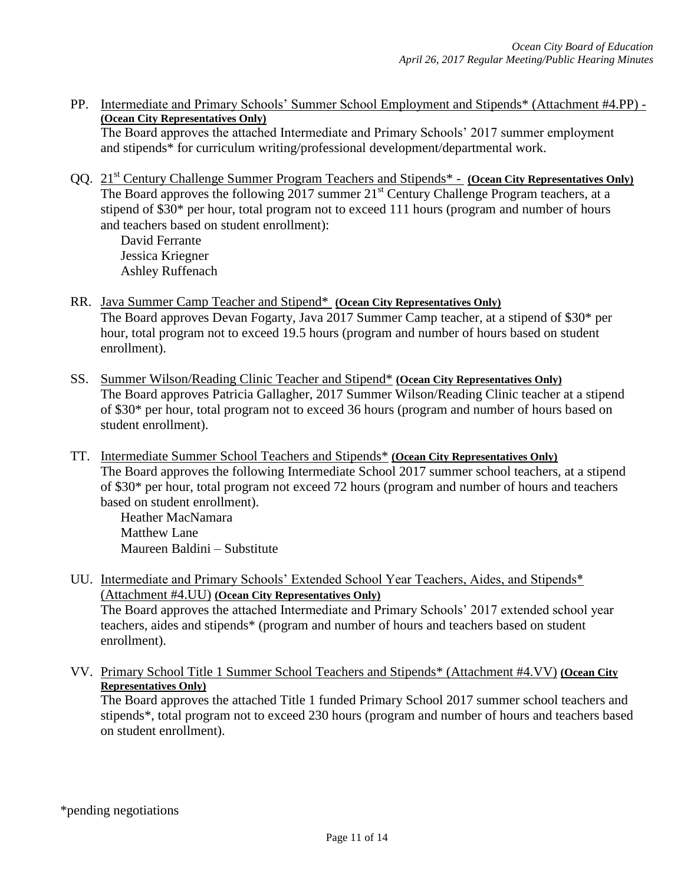PP. Intermediate and Primary Schools' Summer School Employment and Stipends\* (Attachment #4.PP) - **(Ocean City Representatives Only)**

The Board approves the attached Intermediate and Primary Schools' 2017 summer employment and stipends\* for curriculum writing/professional development/departmental work.

QQ. 21st Century Challenge Summer Program Teachers and Stipends\* - **(Ocean City Representatives Only)** The Board approves the following 2017 summer 21<sup>st</sup> Century Challenge Program teachers, at a stipend of \$30\* per hour, total program not to exceed 111 hours (program and number of hours and teachers based on student enrollment):

David Ferrante Jessica Kriegner Ashley Ruffenach

- RR. Java Summer Camp Teacher and Stipend\* **(Ocean City Representatives Only)** The Board approves Devan Fogarty, Java 2017 Summer Camp teacher, at a stipend of \$30\* per hour, total program not to exceed 19.5 hours (program and number of hours based on student enrollment).
- SS. Summer Wilson/Reading Clinic Teacher and Stipend\* **(Ocean City Representatives Only)** The Board approves Patricia Gallagher, 2017 Summer Wilson/Reading Clinic teacher at a stipend of \$30\* per hour, total program not to exceed 36 hours (program and number of hours based on student enrollment).
- TT. Intermediate Summer School Teachers and Stipends\* **(Ocean City Representatives Only)** The Board approves the following Intermediate School 2017 summer school teachers, at a stipend of \$30\* per hour, total program not exceed 72 hours (program and number of hours and teachers based on student enrollment).

Heather MacNamara Matthew Lane Maureen Baldini – Substitute

- UU. Intermediate and Primary Schools' Extended School Year Teachers, Aides, and Stipends\* (Attachment #4.UU) **(Ocean City Representatives Only)** The Board approves the attached Intermediate and Primary Schools' 2017 extended school year teachers, aides and stipends\* (program and number of hours and teachers based on student enrollment).
- VV. Primary School Title 1 Summer School Teachers and Stipends\* (Attachment #4.VV) **(Ocean City Representatives Only)**

The Board approves the attached Title 1 funded Primary School 2017 summer school teachers and stipends\*, total program not to exceed 230 hours (program and number of hours and teachers based on student enrollment).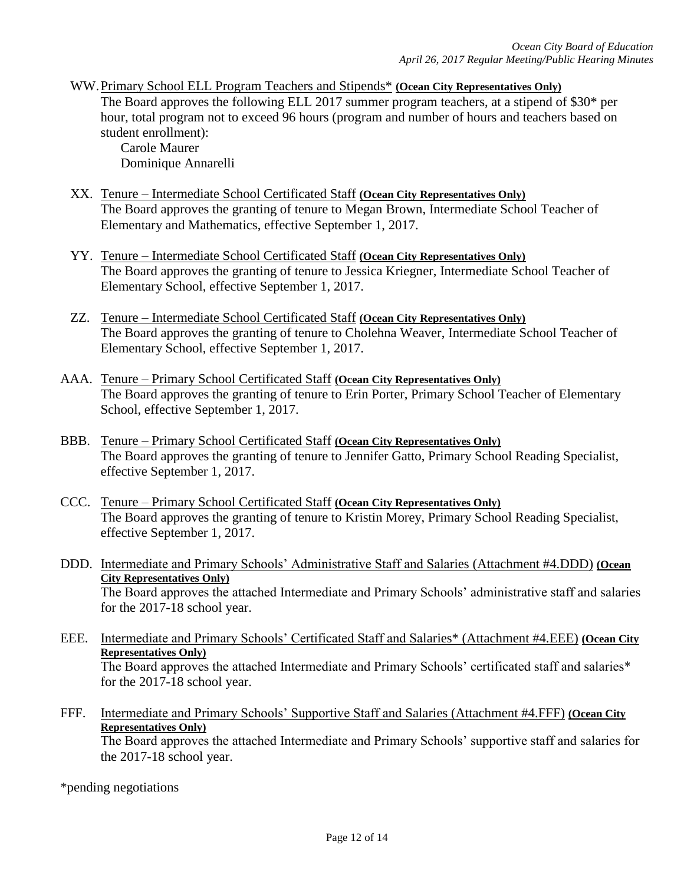WW.Primary School ELL Program Teachers and Stipends\* **(Ocean City Representatives Only)** The Board approves the following ELL 2017 summer program teachers, at a stipend of \$30\* per hour, total program not to exceed 96 hours (program and number of hours and teachers based on student enrollment):

Carole Maurer Dominique Annarelli

- XX. Tenure Intermediate School Certificated Staff **(Ocean City Representatives Only)** The Board approves the granting of tenure to Megan Brown, Intermediate School Teacher of Elementary and Mathematics, effective September 1, 2017.
- YY. Tenure Intermediate School Certificated Staff **(Ocean City Representatives Only)** The Board approves the granting of tenure to Jessica Kriegner, Intermediate School Teacher of Elementary School, effective September 1, 2017.
- ZZ. Tenure Intermediate School Certificated Staff **(Ocean City Representatives Only)** The Board approves the granting of tenure to Cholehna Weaver, Intermediate School Teacher of Elementary School, effective September 1, 2017.
- AAA. Tenure Primary School Certificated Staff **(Ocean City Representatives Only)** The Board approves the granting of tenure to Erin Porter, Primary School Teacher of Elementary School, effective September 1, 2017.
- BBB. Tenure Primary School Certificated Staff **(Ocean City Representatives Only)** The Board approves the granting of tenure to Jennifer Gatto, Primary School Reading Specialist, effective September 1, 2017.
- CCC. Tenure Primary School Certificated Staff **(Ocean City Representatives Only)** The Board approves the granting of tenure to Kristin Morey, Primary School Reading Specialist, effective September 1, 2017.
- DDD. Intermediate and Primary Schools' Administrative Staff and Salaries (Attachment #4.DDD) **(Ocean City Representatives Only)** The Board approves the attached Intermediate and Primary Schools' administrative staff and salaries for the 2017-18 school year.
- EEE. Intermediate and Primary Schools' Certificated Staff and Salaries\* (Attachment #4.EEE) **(Ocean City Representatives Only)** The Board approves the attached Intermediate and Primary Schools' certificated staff and salaries\* for the 2017-18 school year.
- FFF. Intermediate and Primary Schools' Supportive Staff and Salaries (Attachment #4.FFF) **(Ocean City Representatives Only)** The Board approves the attached Intermediate and Primary Schools' supportive staff and salaries for the 2017-18 school year.

\*pending negotiations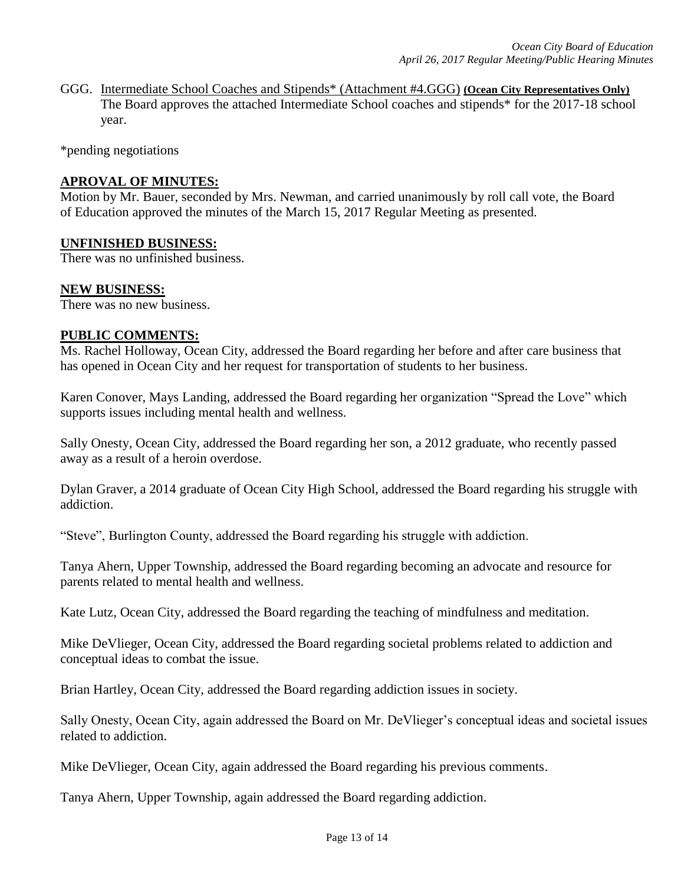GGG. Intermediate School Coaches and Stipends\* (Attachment #4.GGG) **(Ocean City Representatives Only)** The Board approves the attached Intermediate School coaches and stipends\* for the 2017-18 school year.

\*pending negotiations

### **APROVAL OF MINUTES:**

Motion by Mr. Bauer, seconded by Mrs. Newman, and carried unanimously by roll call vote, the Board of Education approved the minutes of the March 15, 2017 Regular Meeting as presented.

#### **UNFINISHED BUSINESS:**

There was no unfinished business.

#### **NEW BUSINESS:**

There was no new business.

#### **PUBLIC COMMENTS:**

Ms. Rachel Holloway, Ocean City, addressed the Board regarding her before and after care business that has opened in Ocean City and her request for transportation of students to her business.

Karen Conover, Mays Landing, addressed the Board regarding her organization "Spread the Love" which supports issues including mental health and wellness.

Sally Onesty, Ocean City, addressed the Board regarding her son, a 2012 graduate, who recently passed away as a result of a heroin overdose.

Dylan Graver, a 2014 graduate of Ocean City High School, addressed the Board regarding his struggle with addiction.

"Steve", Burlington County, addressed the Board regarding his struggle with addiction.

Tanya Ahern, Upper Township, addressed the Board regarding becoming an advocate and resource for parents related to mental health and wellness.

Kate Lutz, Ocean City, addressed the Board regarding the teaching of mindfulness and meditation.

Mike DeVlieger, Ocean City, addressed the Board regarding societal problems related to addiction and conceptual ideas to combat the issue.

Brian Hartley, Ocean City, addressed the Board regarding addiction issues in society.

Sally Onesty, Ocean City, again addressed the Board on Mr. DeVlieger's conceptual ideas and societal issues related to addiction.

Mike DeVlieger, Ocean City, again addressed the Board regarding his previous comments.

Tanya Ahern, Upper Township, again addressed the Board regarding addiction.